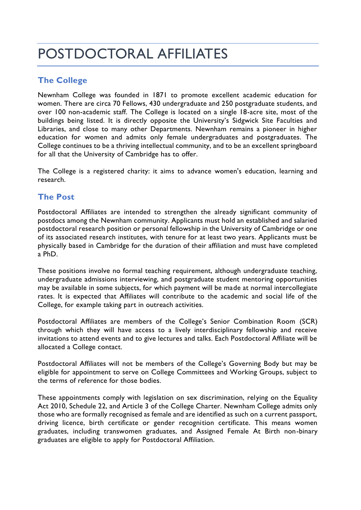# POSTDOCTORAL AFFILIATES

## **The College**

Newnham College was founded in 1871 to promote excellent academic education for women. There are circa 70 Fellows, 430 undergraduate and 250 postgraduate students, and over 100 non-academic staff. The College is located on a single 18-acre site, most of the buildings being listed. It is directly opposite the University's Sidgwick Site Faculties and Libraries, and close to many other Departments. Newnham remains a pioneer in higher education for women and admits only female undergraduates and postgraduates. The College continues to be a thriving intellectual community, and to be an excellent springboard for all that the University of Cambridge has to offer.

The College is a registered charity: it aims to advance women's education, learning and research.

### **The Post**

Postdoctoral Affiliates are intended to strengthen the already significant community of postdocs among the Newnham community. Applicants must hold an established and salaried postdoctoral research position or personal fellowship in the University of Cambridge or one of its associated research institutes, with tenure for at least two years. Applicants must be physically based in Cambridge for the duration of their affiliation and must have completed a PhD.

These positions involve no formal teaching requirement, although undergraduate teaching, undergraduate admissions interviewing, and postgraduate student mentoring opportunities may be available in some subjects, for which payment will be made at normal intercollegiate rates. It is expected that Affiliates will contribute to the academic and social life of the College, for example taking part in outreach activities.

Postdoctoral Affiliates are members of the College's Senior Combination Room (SCR) through which they will have access to a lively interdisciplinary fellowship and receive invitations to attend events and to give lectures and talks. Each Postdoctoral Affiliate will be allocated a College contact.

Postdoctoral Affiliates will not be members of the College's Governing Body but may be eligible for appointment to serve on College Committees and Working Groups, subject to the terms of reference for those bodies.

These appointments comply with legislation on sex discrimination, relying on the Equality Act 2010, Schedule 22, and Article 3 of the College Charter. Newnham College admits only those who are formally recognised as female and are identified as such on a current passport, driving licence, birth certificate or gender recognition certificate. This means women graduates, including transwomen graduates, and Assigned Female At Birth non-binary graduates are eligible to apply for Postdoctoral Affiliation.